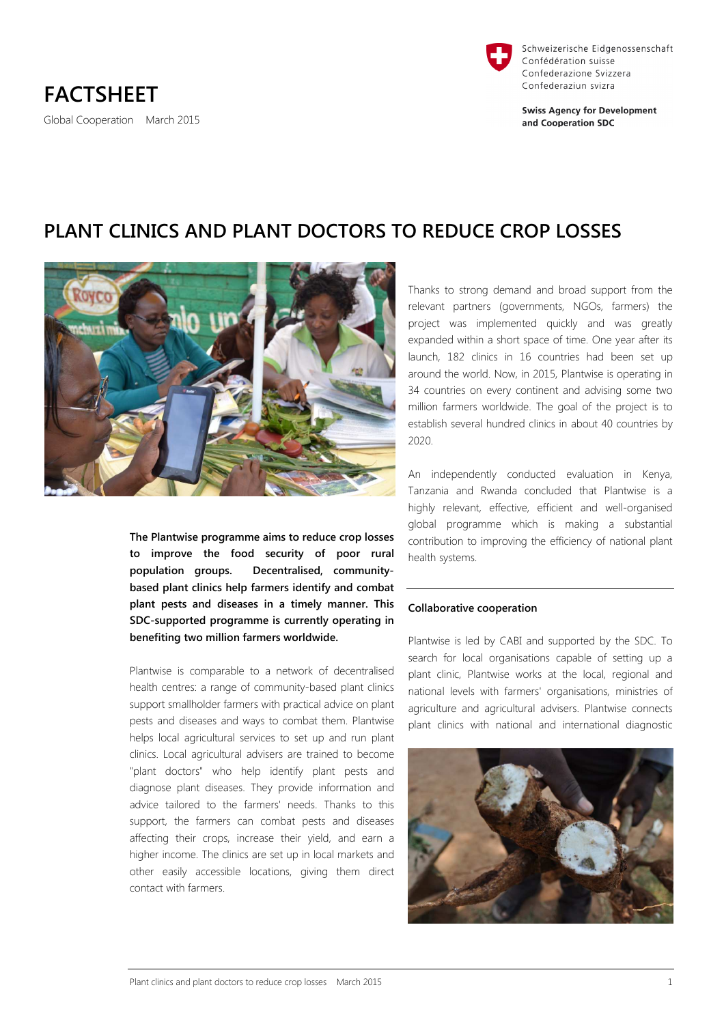

Schweizerische Eidgenossenschaft Confédération suisse Confederazione Svizzera Confederaziun svizra

**Swiss Agency for Development** and Cooperation SDC

# **PLANT CLINICS AND PLANT DOCTORS TO REDUCE CROP LOSSES**



**The Plantwise programme aims to reduce crop losses to improve the food security of poor rural population groups. Decentralised, communitybased plant clinics help farmers identify and combat plant pests and diseases in a timely manner. This SDC-supported programme is currently operating in benefiting two million farmers worldwide.** 

Plantwise is comparable to a network of decentralised health centres: a range of community-based plant clinics support smallholder farmers with practical advice on plant pests and diseases and ways to combat them. Plantwise helps local agricultural services to set up and run plant clinics. Local agricultural advisers are trained to become "plant doctors" who help identify plant pests and diagnose plant diseases. They provide information and advice tailored to the farmers' needs. Thanks to this support, the farmers can combat pests and diseases affecting their crops, increase their yield, and earn a higher income. The clinics are set up in local markets and other easily accessible locations, giving them direct contact with farmers.

Thanks to strong demand and broad support from the relevant partners (governments, NGOs, farmers) the project was implemented quickly and was greatly expanded within a short space of time. One year after its launch, 182 clinics in 16 countries had been set up around the world. Now, in 2015, Plantwise is operating in 34 countries on every continent and advising some two million farmers worldwide. The goal of the project is to establish several hundred clinics in about 40 countries by 2020.

An independently conducted evaluation in Kenya, Tanzania and Rwanda concluded that Plantwise is a highly relevant, effective, efficient and well-organised global programme which is making a substantial contribution to improving the efficiency of national plant health systems.

# **Collaborative cooperation**

Plantwise is led by CABI and supported by the SDC. To search for local organisations capable of setting up a plant clinic, Plantwise works at the local, regional and national levels with farmers' organisations, ministries of agriculture and agricultural advisers. Plantwise connects plant clinics with national and international diagnostic